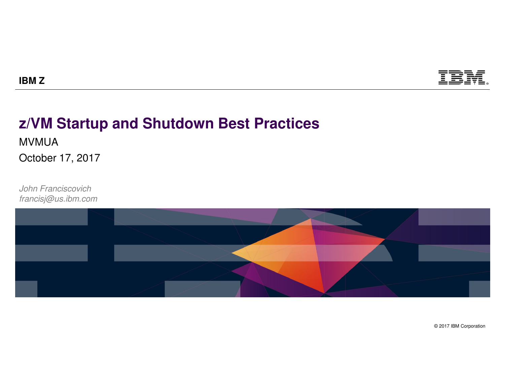

## **z/VM Startup and Shutdown Best Practices**

MVMUA

**IBM Z**

October 17, 2017

*John Franciscovichfrancisj@us.ibm.com*

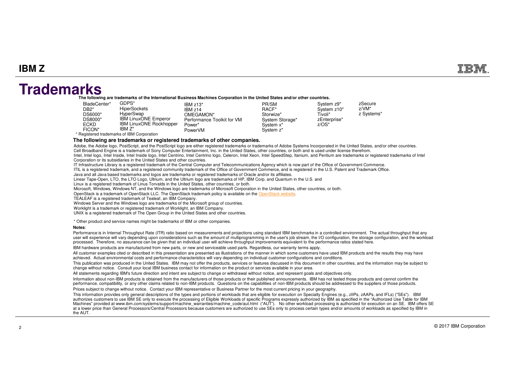### **Trademarks**

**The following are trademarks of the International Business Machines Corporation in the United States and/or other countries.**

| BladeCenter*<br>DB <sub>2</sub> *<br>DS6000*<br>DS8000*<br><b>ECKD</b><br>FICON* | GDPS*<br><b>HiperSockets</b><br>HvperSwap<br><b>IBM LinuxONE Emperor</b><br><b>IBM LinuxONE Rockhopper</b><br>IBM Z*<br>* Registered trademarks of IBM Corporation | IBM $z13*$<br>IBM z14<br>OMEGAMON*<br>Performance Toolkit for VM<br>Power*<br>PowerVM | PR/SM<br>RACF*<br>Storwize*<br>System Storage*<br>System x <sup>*</sup><br>System z* | System z9*<br>System z10*<br>Tivoli*<br>zEnterprise*<br>$Z/OS^*$ | zSecure<br>$Z/VM^*$<br>z Systems* |
|----------------------------------------------------------------------------------|--------------------------------------------------------------------------------------------------------------------------------------------------------------------|---------------------------------------------------------------------------------------|--------------------------------------------------------------------------------------|------------------------------------------------------------------|-----------------------------------|
|----------------------------------------------------------------------------------|--------------------------------------------------------------------------------------------------------------------------------------------------------------------|---------------------------------------------------------------------------------------|--------------------------------------------------------------------------------------|------------------------------------------------------------------|-----------------------------------|

**The following are trademarks or registered trademarks of other companies.**

Adobe, the Adobe logo, PostScript, and the PostScript logo are either registered trademarks or trademarks of Adobe Systems Incorporated in the United States, and/or other countries. Cell Broadband Engine is a trademark of Sony Computer Entertainment, Inc. in the United States, other countries, or both and is used under license therefrom. Intel, Intel logo, Intel Inside, Intel Inside logo, Intel Centrino, Intel Centrino logo, Celeron, Intel Xeon, Intel SpeedStep, Itanium, and Pentium are trademarks or registered trademarks of Intel

Corporation or its subsidiaries in the United States and other countries.

IT Infrastructure Library is a registered trademark of the Central Computer and Telecommunications Agency which is now part of the Office of Government Commerce.

ITIL is a registered trademark, and a registered community trademark of the Office of Government Commerce, and is registered in the U.S. Patent and Trademark Office.

Java and all Java based trademarks and logos are trademarks or registered trademarks of Oracle and/or its affiliates.

Linear Tape-Open, LTO, the LTO Logo, Ultrium, and the Ultrium logo are trademarks of HP, IBM Corp. and Quantum in the U.S. and

Linux is a registered trademark of Linus Torvalds in the United States, other countries, or both.

Microsoft, Windows, Windows NT, and the Windows logo are trademarks of Microsoft Corporation in the United States, other countries, or both.

OpenStack is a trademark of OpenStack LLC. The OpenStack trademark policy is available on the OpenStack website.

TEALEAF is a registered trademark of Tealeaf, an IBM Company.

Windows Server and the Windows logo are trademarks of the Microsoft group of countries.

Worklight is a trademark or registered trademark of Worklight, an IBM Company.

UNIX is a registered trademark of The Open Group in the United States and other countries.

\* Other product and service names might be trademarks of IBM or other companies.

#### **Notes**:

 Performance is in Internal Throughput Rate (ITR) ratio based on measurements and projections using standard IBM benchmarks in a controlled environment. The actual throughput that any user will experience will vary depending upon considerations such as the amount of multiprogramming in the user's job stream, the I/O configuration, the storage configuration, and the workload processed. Therefore, no assurance can be given that an individual user will achieve throughput improvements equivalent to the performance ratios stated here. IBM hardware products are manufactured from new parts, or new and serviceable used parts. Regardless, our warranty terms apply.

All customer examples cited or described in this presentation are presented as illustrations of the manner in which some customers have used IBM products and the results they may have achieved. Actual environmental costs and performance characteristics will vary depending on individual customer configurations and conditions.

 This publication was produced in the United States. IBM may not offer the products, services or features discussed in this document in other countries, and the information may be subject to change without notice. Consult your local IBM business contact for information on the product or services available in your area.

All statements regarding IBM's future direction and intent are subject to change or withdrawal without notice, and represent goals and objectives only.

 Information about non-IBM products is obtained from the manufacturers of those products or their published announcements. IBM has not tested those products and cannot confirm the performance, compatibility, or any other claims related to non-IBM products. Questions on the capabilities of non-IBM products should be addressed to the suppliers of those products.

Prices subject to change without notice. Contact your IBM representative or Business Partner for the most current pricing in your geography.

This information provides only general descriptions of the types and portions of workloads that are eligible for execution on Specialty Engines (e.g., zIIPs, zAAPs, and IFLs) ("SEs"). IBM<br>authorizes customers to use IBM SE Machines" provided at www.ibm.com/systems/support/machine\_warranties/machine\_code/aut.html ("AUT"). No other workload processing is authorized for execution on an SE. IBM offers SE at a lower price than General Processors/Central Processors because customers are authorized to use SEs only to process certain types and/or amounts of workloads as specified by IBM in the AUT.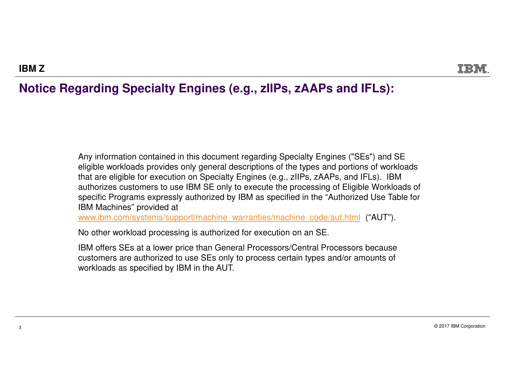### **Notice Regarding Specialty Engines (e.g., zIIPs, zAAPs and IFLs):**

Any information contained in this document regarding Specialty Engines ("SEs") and SE eligible workloads provides only general descriptions of the types and portions of workloads that are eligible for execution on Specialty Engines (e.g., zIIPs, zAAPs, and IFLs). IBM authorizes customers to use IBM SE only to execute the processing of Eligible Workloads of specific Programs expressly authorized by IBM as specified in the "Authorized Use Table for IBM Machines" provided at

www.ibm.com/systems/support/machine\_warranties/machine\_code/aut.html ("AUT").

No other workload processing is authorized for execution on an SE.

IBM offers SEs at a lower price than General Processors/Central Processors because customers are authorized to use SEs only to process certain types and/or amounts of workloads as specified by IBM in the AUT.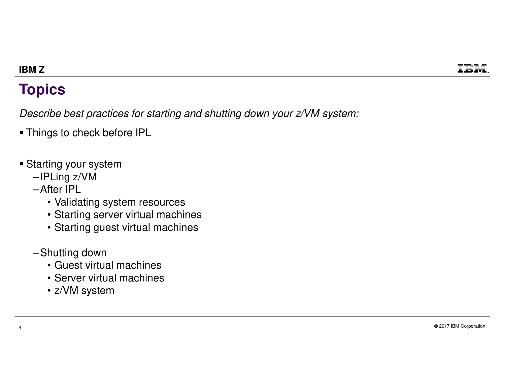## **Topics**

*Describe best practices for starting and shutting down your z/VM system:*

- Things to check before IPL
- Starting your system
	- –IPLing z/VM
	- –After IPL
		- Validating system resources
		- Starting server virtual machines
		- Starting guest virtual machines
	- –Shutting down

4

- Guest virtual machines
- Server virtual machines
- z/VM system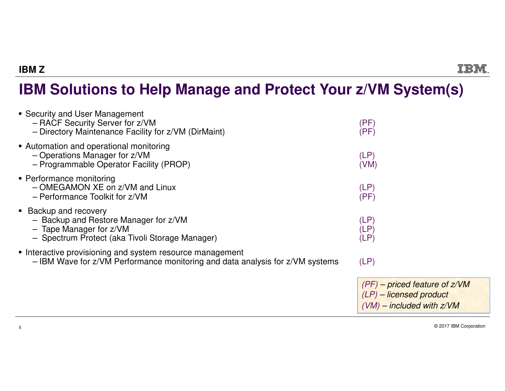## **IBM Solutions to Help Manage and Protect Your z/VM System(s)**

| • Security and User Management<br>- RACF Security Server for z/VM<br>- Directory Maintenance Facility for z/VM (DirMaint)                        | (PF)<br>(PF)                                                                                   |
|--------------------------------------------------------------------------------------------------------------------------------------------------|------------------------------------------------------------------------------------------------|
| • Automation and operational monitoring<br>- Operations Manager for z/VM<br>- Programmable Operator Facility (PROP)                              | (LP)<br>(VM)                                                                                   |
| • Performance monitoring<br>- OMEGAMON XE on z/VM and Linux<br>- Performance Toolkit for z/VM                                                    | (LP)<br>(PF)                                                                                   |
| • Backup and recovery<br>- Backup and Restore Manager for z/VM<br>$-$ Tape Manager for $z/VM$<br>- Spectrum Protect (aka Tivoli Storage Manager) | (LP)<br>(LP)<br>(LP)                                                                           |
| • Interactive provisioning and system resource management<br>- IBM Wave for z/VM Performance monitoring and data analysis for z/VM systems       | (LP)                                                                                           |
|                                                                                                                                                  | $(PF)$ – priced feature of $z/VM$<br>$(LP)$ – licensed product<br>$(VM)$ – included with $ZVM$ |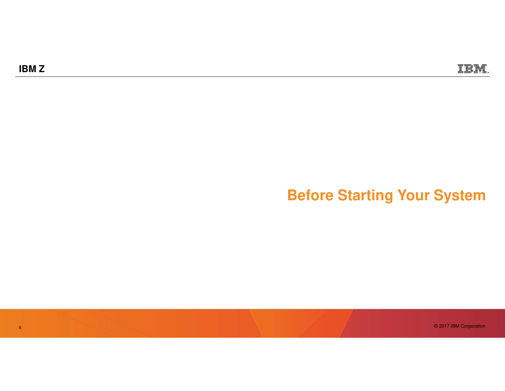6

## **Before Starting Your System**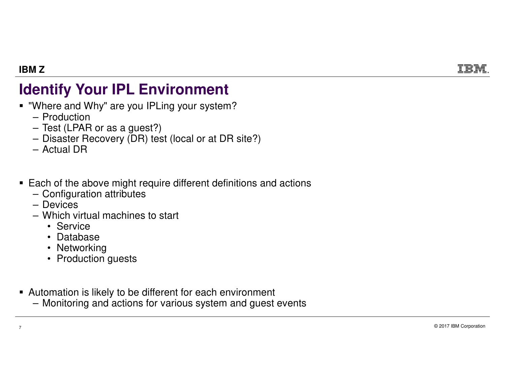# **Identify Your IPL Environment**

- **"Where and Why" are you IPLing your system?** 
	- Production

- Test (LPAR or as a guest?)
- Disaster Recovery (DR) test (local or at DR site?)
- Actual DR
- Each of the above might require different definitions and actions
	- Configuration attributes
	- Devices
	- Which virtual machines to start
		- Service
		- Database
		- Networking
		- Production guests
- Automation is likely to be different for each environment
	- Monitoring and actions for various system and guest events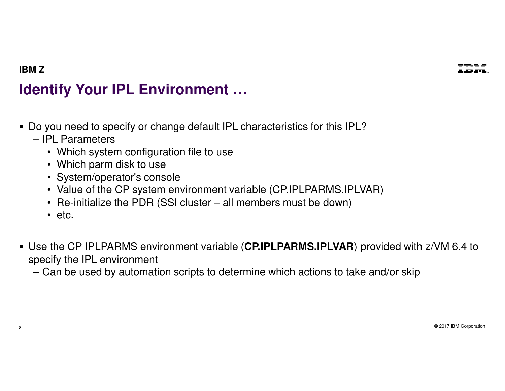## **Identify Your IPL Environment …**

- Do you need to specify or change default IPL characteristics for this IPL?
	- IPL Parameters

**IBM Z**

- Which system configuration file to use
- Which parm disk to use
- System/operator's console
- Value of the CP system environment variable (CP.IPLPARMS.IPLVAR)
- Re-initialize the PDR (SSI cluster all members must be down)
- etc.
- Use the CP IPLPARMS environment variable (**CP.IPLPARMS.IPLVAR**) provided with z/VM 6.4 to specify the IPL environment

– Can be used by automation scripts to determine which actions to take and/or skip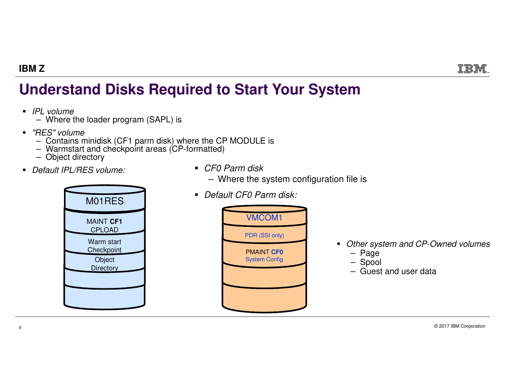## **Understand Disks Required to Start Your System**

- *IPL volume*
	- Where the loader program (SAPL) is
- *"RES" volume*
	- Contains minidisk (CF1 parm disk) where the CP MODULE is Warmstart and checkpoint areas (CP-formatted)
	-
	- Object directory
- *Default IPL/RES volume:*



- *CF0 Parm disk*
	- Where the system configuration file is
- *Default CF0 Parm disk:*



- *Other system and CP-Owned volumes*
	- Page
	- Spool
	- Guest and user data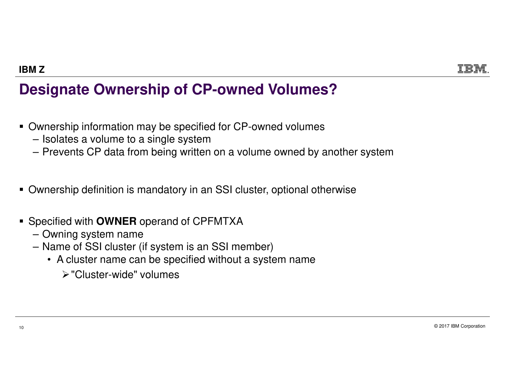## **Designate Ownership of CP-owned Volumes?**

- Ownership information may be specified for CP-owned volumes
	- Isolates a volume to a single system
	- Prevents CP data from being written on a volume owned by another system
- Ownership definition is mandatory in an SSI cluster, optional otherwise
- Specified with **OWNER** operand of CPFMTXA
	- Owning system name
	- Name of SSI cluster (if system is an SSI member)
		- A cluster name can be specified without a system name
			- -"Cluster-wide" volumes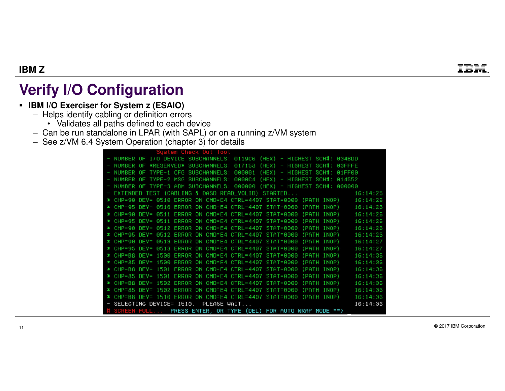## **Verify I/O Configuration**

### **IBM I/O Exerciser for System z (ESAIO)**

- Helps identify cabling or definition errors
	- Validates all paths defined to each device
- Can be run standalone in LPAR (with SAPL) or on a running z/VM system
- See z/VM 6.4 System Operation (chapter 3) for details

| System Check Out lool                                                       |          |
|-----------------------------------------------------------------------------|----------|
| - NUMBER OF I/O DEVICE SUBCHANNELS: 0119C6 (HEX) - HIGHEST SCH#: 034BDD     |          |
| NUMBER OF *RESERVED* SUBCHANNELS: 017158 (HEX) - HIGHEST SCH#: 03FFFE       |          |
| NUMBER OF TYPE-1 CFG SUBCHANNELS: 000001 (HEX) - HIGHEST SCH#: 01FF00       |          |
| NUMBER OF TYPE-2 MSG SUBCHANNELS: 0000C4 (HEX) - HIGHEST SCH#: 014552       |          |
| NUMBER OF TYPE-3 ADM SUBCHANNELS: 000000 (HEX) - HIGHEST SCH#: 000000       |          |
| - EXTENDED TEST (CABLING & DASD READ_VOLID) STARTED 46:14:25                |          |
| * CHP=90 DEV= 0510 ERROR ON CMD=E4 CTRL=4407 STAT=0000 (PATH INOP) 16:14:26 |          |
| * CHP=95 DEV= 0510 ERROR ON CMD=E4 CTRL=4407 STAT=0000 (PATH INOP) 16:14:26 |          |
| * CHP=90 DEV= 0511 ERROR ON CMD=E4 CTRL=4407 STAT=0000 (PATH INOP) 16:14:26 |          |
| * CHP=95 DEV= 0511 ERROR ON CMD=E4 CTRL=4407 STAT=0000 (PATH INOP)          | 16:14:26 |
| * CHP=90 DEV= 0512 ERROR ON CMD=E4 CTRL=4407 STAT=0000 (PATH INOP) 16:14:26 |          |
| * CHP=95 DEV= 0512 ERROR ON CMD=E4 CTRL=4407 STAT=0000 (PATH INOP)          | 16:14:26 |
| * CHP=90 DEV= 0513 ERROR ON CMD=E4 CTRL=4407 STAT=0000 (PATH INOP) 16:14:27 |          |
| * CHP=95 DEV= 0513 ERROR ON CMD=E4 CTRL=4407 STAT=0000 (PATH INOP)          | 16:14:27 |
| * CHP=B8 DEV= 1500 ERROR ON CMD=E4 CTRL=4407 STAT=0000 (PATH INOP) 16:14:36 |          |
| * CHP=85 DEV= 1500 ERROR ON CMD=E4 CTRL=4407 STAT=0000 (PATH INOP) 16:14:36 |          |
| * CHP=B8 DEV= 1501 ERROR ON CMD=E4 CTRL=4407 STAT=0000 (PATH INOP) 16:14:36 |          |
| * CHP=85 DEV= 1501 ERROR ON CMD=E4 CTRL=4407 STAT=0000 (PATH INOP) 16:14:36 |          |
| * CHP=B8 DEV= 1502 ERROR ON CMD=E4 CTRL=4407 STAT=0000 (PATH INOP)          | 16:14:36 |
| * CHP=85 DEV= 1502 ERROR ON CMD=E4 CTRL=4407 STAT=0000 (PATH INOP) 16:14:36 |          |
| * CHP=B8 DEV= 1510 ERROR ON CMD=E4 CTRL=4407 STAT=0000 (PATH INOP)          | 16:14:36 |
| - SELECTING DEVICE= 1510. PLEASE WAIT                                       | 16:14:36 |
| # SCREEN FULL PRESS ENTER, OR TYPE (DEL) FOR AUTO WRAP MODE == >            |          |

© 2017 IBM Corporation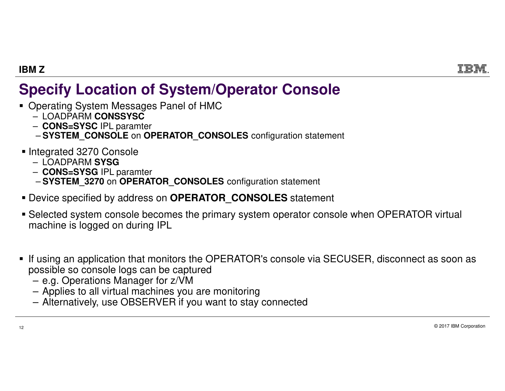## **Specify Location of System/Operator Console**

- **Derating System Messages Panel of HMC** 
	- LOADPARM **CONSSYSC**
	- **CONS=SYSC** IPL paramter
	- **SYSTEM\_CONSOLE** on **OPERATOR\_CONSOLES** configuration statement
- Integrated 3270 Console
	- LOADPARM **SYSG**
	- **CONS=SYSG** IPL paramter –
	- **SYSTEM\_3270** on **OPERATOR\_CONSOLES** configuration statement
- Device specified by address on **OPERATOR\_CONSOLES** statement
- Selected system console becomes the primary system operator console when OPERATOR virtual machine is logged on during IPL
- $\textcolor{red}{\bullet}$  If using an application that monitors the OPERATOR's console via SECUSER, disconnect as soon as possible so console logs can be captured
	- e.g. Operations Manager for z/VM
	- Applies to all virtual machines you are monitoring
	- Alternatively, use OBSERVER if you want to stay connected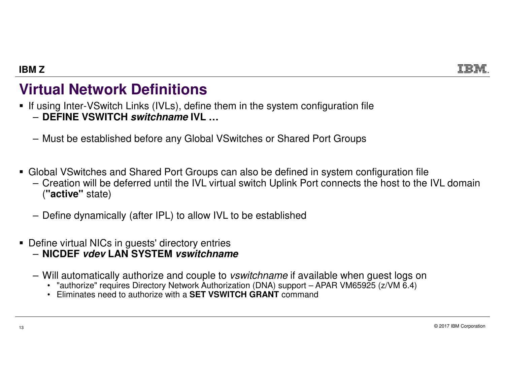## **Virtual Network Definitions**

If using Inter-VSwitch Links (IVLs), define them in the system configuration file

- **DEFINE VSWITCH switchname IVL …**
- Must be established before any Global VSwitches or Shared Port Groups
- **Global VSwitches and Shared Port Groups can also be defined in system configuration file** 
	- Creation will be deferred until the IVL virtual switch Uplink Port connects the host to the IVL domain (**"active"** state)
	- Define dynamically (after IPL) to allow IVL to be established
- Define virtual NICs in guests' directory entries
	- **NICDEF vdev LAN SYSTEM vswitchname**
	- Will automatically authorize and couple to *vswitchname* if available when guest logs on
		- "authorize" requires Directory Network Authorization (DNA) support APAR VM65925 (z/VM 6.4)
		- Eliminates need to authorize with a **SET VSWITCH GRANT** command

© 2017 IBM Corporation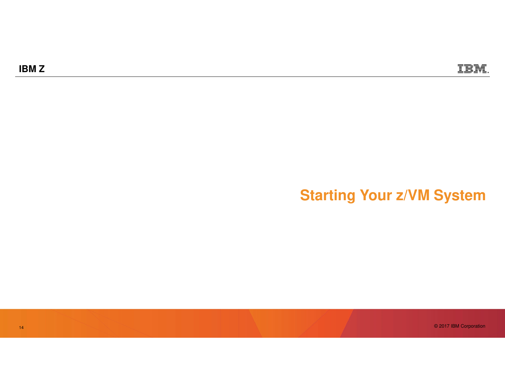## **Starting Your z/VM System**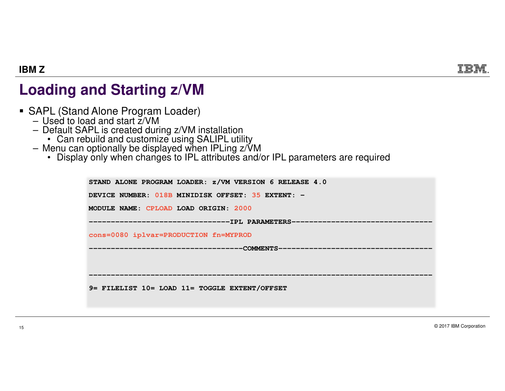## **Loading and Starting z/VM**

- SAPL (Stand Alone Program Loader) Used to load and start z/VM
	-
	-
	-
	-
	- Default SAPL is created during z/VM installation<br>• Can rebuild and customize using SALIPL utility<br>- Menu can optionally be displayed when IPLing z/VM<br>• Display only when changes to IPL attributes and/or IPL parameters ar

| STAND ALONE PROGRAM LOADER: z/VM VERSION 6 RELEASE 4.0 |
|--------------------------------------------------------|
| DEVICE NUMBER: 018B MINIDISK OFFSET: 35 EXTENT: -      |
| MODULE NAME: CPLOAD LOAD ORIGIN: 2000                  |
|                                                        |
| cons=0080 iplvar=PRODUCTION fn=MYPROD                  |
|                                                        |
|                                                        |
|                                                        |
| 9= FILELIST 10= LOAD 11= TOGGLE EXTENT/OFFSET          |
|                                                        |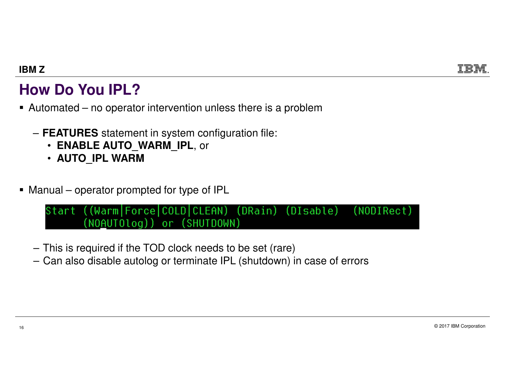## **How Do You IPL?**

- Automated no operator intervention unless there is a problem
	- **FEATURES** statement in system configuration file:
		- **ENABLE AUTO\_WARM\_IPL**, or
		- **AUTO\_IPL WARM**
- Manual operator prompted for type of IPL

```
Start ((Warm|Force|COLD|CLEAN) (DRain) (DIsable)
                                              (NODIRect)
(NOAUTOlog)) or (SHUTDOWN)
```
- This is required if the TOD clock needs to be set (rare)
- Can also disable autolog or terminate IPL (shutdown) in case of errors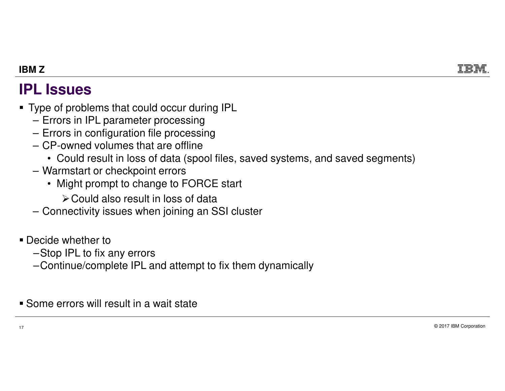### **IPL Issues**

- Type of problems that could occur during IPL
	- Errors in IPL parameter processing
	- Errors in configuration file processing
	- CP-owned volumes that are offline
		- Could result in loss of data (spool files, saved systems, and saved segments)
	- Warmstart or checkpoint errors
		- Might prompt to change to FORCE start
			- $\blacktriangleright$  Could also result in loss of data
	- Connectivity issues when joining an SSI cluster
- Decide whether to
	- –Stop IPL to fix any errors
	- –Continue/complete IPL and attempt to fix them dynamically

Some errors will result in a wait state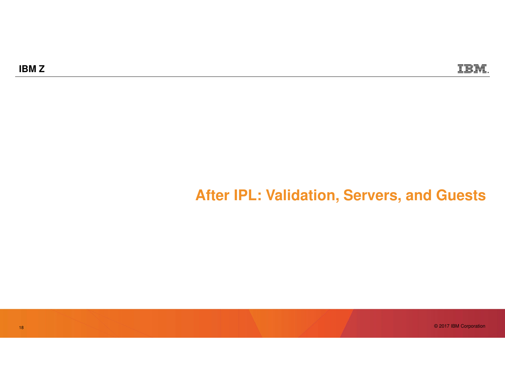### **After IPL: Validation, Servers, and Guests**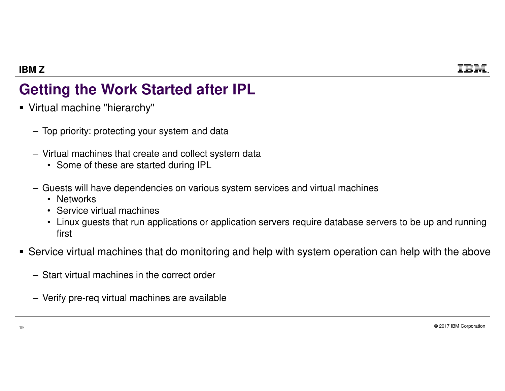## **Getting the Work Started after IPL**

- Virtual machine "hierarchy"
	- Top priority: protecting your system and data
	- Virtual machines that create and collect system data
		- Some of these are started during IPL
	- Guests will have dependencies on various system services and virtual machines
		- Networks
		- Service virtual machines
		- Linux guests that run applications or application servers require database servers to be up and running first
- Service virtual machines that do monitoring and help with system operation can help with the above
	- Start virtual machines in the correct order
	- Verify pre-req virtual machines are available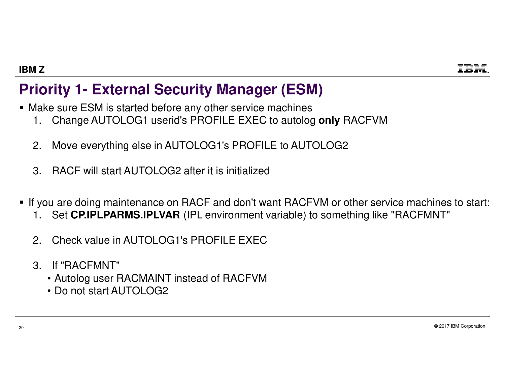### **Priority 1- External Security Manager (ESM)**

- Make sure ESM is started before any other service machines
	- 1. Change AUTOLOG1 userid's PROFILE EXEC to autolog **only** RACFVM
	- 2. Move everything else in AUTOLOG1's PROFILE to AUTOLOG2
	- 3. RACF will start AUTOLOG2 after it is initialized
- $\textcolor{red}{\bullet}$  If you are doing maintenance on RACF and don't want RACFVM or other service machines to start:
	- 1. Set **CP.IPLPARMS.IPLVAR** (IPL environment variable) to something like "RACFMNT"
	- 2. Check value in AUTOLOG1's PROFILE EXEC
	- 3. If "RACFMNT"
		- Autolog user RACMAINT instead of RACFVM
		- Do not start AUTOLOG2

© 2017 IBM Corporation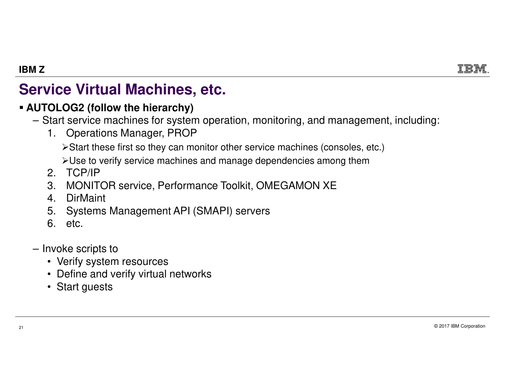## **Service Virtual Machines, etc.**

### **AUTOLOG2 (follow the hierarchy)**

- Start service machines for system operation, monitoring, and management, including:
	- 1. Operations Manager, PROP

≻Start these first so they can monitor other service machines (consoles, etc.)

 $\triangleright$ Use to verify service machines and manage dependencies among them

- 2. TCP/IP
- 3. MONITOR service, Performance Toolkit, OMEGAMON XE
- 4. DirMaint
- 5. Systems Management API (SMAPI) servers
- 6. etc.
- Invoke scripts to
	- Verify system resources
	- Define and verify virtual networks
	- Start guests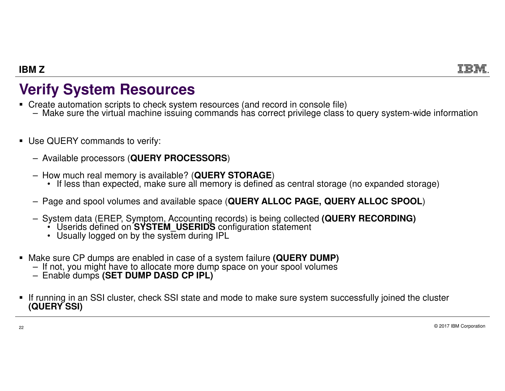## **Verify System Resources**

- Create automation scripts to check system resources (and record in console file)
	- Make sure the virtual machine issuing commands has correct privilege class to query system-wide information
- Use QUERY commands to verify:
	- Available processors (**QUERY PROCESSORS**)
	- How much real memory is available? (**QUERY STORAGE**)
		- If less than expected, make sure all memory is defined as central storage (no expanded storage)
	- Page and spool volumes and available space (**QUERY ALLOC PAGE, QUERY ALLOC SPOOL**)
	- System data (EREP, Symptom, Accounting records) is being collected **(QUERY RECORDING)**
		- Userids defined on **SYSTEM\_USERIDS** configuration statement
		- Usually logged on by the system during IPL
- Make sure CP dumps are enabled in case of a system failure **(QUERY DUMP)**
	- If not, you might have to allocate more dump space on your spool volumes
	- Enable dumps **(SET DUMP DASD CP IPL)**
- If running in an SSI cluster, check SSI state and mode to make sure system successfully joined the cluster **(QUERY SSI)**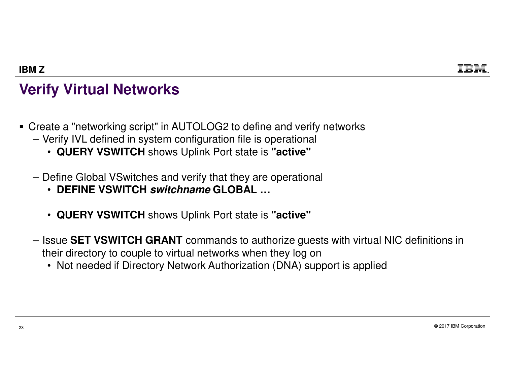## **Verify Virtual Networks**

- Create a "networking script" in AUTOLOG2 to define and verify networks
	- Verify IVL defined in system configuration file is operational
		- **QUERY VSWITCH** shows Uplink Port state is **"active"**
	- Define Global VSwitches and verify that they are operational
		- **DEFINE VSWITCH switchname GLOBAL …**
		- **QUERY VSWITCH** shows Uplink Port state is **"active"**
	- Issue **SET VSWITCH GRANT** commands to authorize guests with virtual NIC definitions in their directory to couple to virtual networks when they log on
		- Not needed if Directory Network Authorization (DNA) support is applied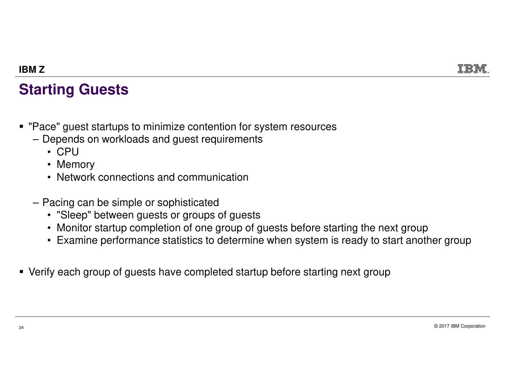## **Starting Guests**

- $\textcolor{red}{\bullet}$  "Pace" guest startups to minimize contention for system resources
	- Depends on workloads and guest requirements
		- CPU
		- Memory
		- Network connections and communication
	- Pacing can be simple or sophisticated
		- "Sleep" between guests or groups of guests
		- Monitor startup completion of one group of guests before starting the next group
		- Examine performance statistics to determine when system is ready to start another group
- Verify each group of guests have completed startup before starting next group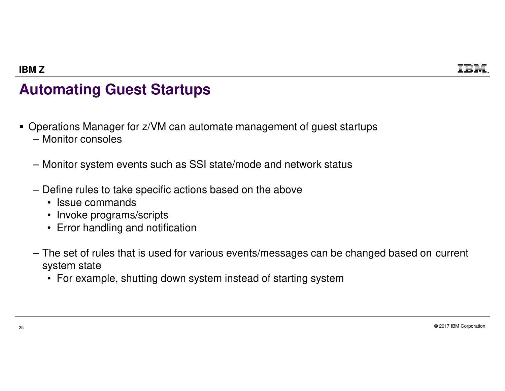## **Automating Guest Startups**

- Operations Manager for z/VM can automate management of guest startups– Monitor consoles
	- Monitor system events such as SSI state/mode and network status
	- Define rules to take specific actions based on the above
		- Issue commands
		- Invoke programs/scripts
		- Error handling and notification
	- The set of rules that is used for various events/messages can be changed based on current system state
		- For example, shutting down system instead of starting system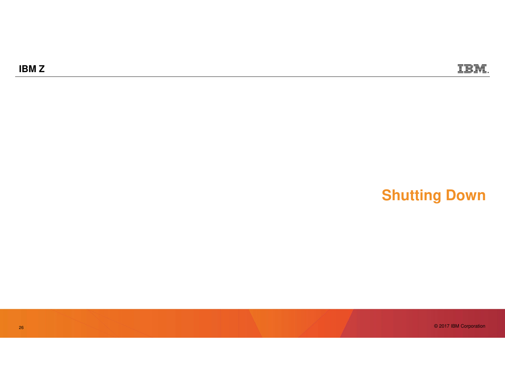## **Shutting Down**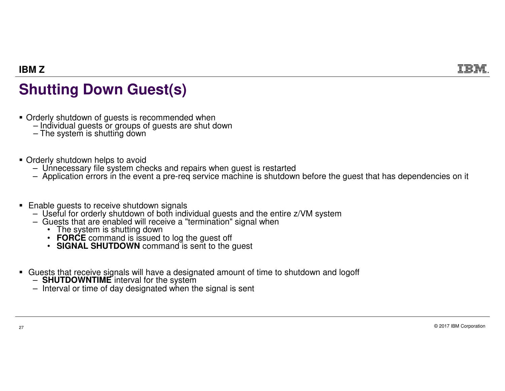## **Shutting Down Guest(s)**

- Orderly shutdown of guests is recommended when
	- Individual guests or groups of guests are shut down
	- The system is shutting down
- **Orderly shutdown helps to avoid Theory** 
	- Unnecessary file system checks and repairs when guest is restarted
	- Application errors in the event a pre-req service machine is shutdown before the guest that has dependencies on it
- **Enable guests to receive shutdown signals**<br>Little statements that the statement is the individual
	- Useful for orderly shutdown of both individual guests and the entire z/VM system
	- Guests that are enabled will receive a "termination" signal when
		- The system is shutting down
		- **FORCE** command is issued to log the guest off<br>• SIGNAL SHUTDOWN command is sont to the
		- **SIGNAL SHUTDOWN** command is sent to the guest
- Guests that receive signals will have a designated amount of time to shutdown and logoff
	- **SHUTDOWNTIME** interval for the system
	- Interval or time of day designated when the signal is sent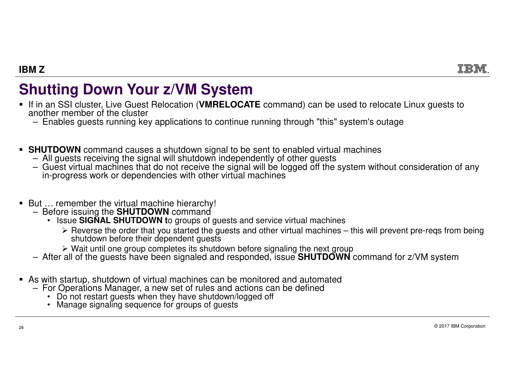## **Shutting Down Your z/VM System**

- If in an SSI cluster, Live Guest Relocation (**VMRELOCATE** command) can be used to relocate Linux guests to another member of the cluster
	- Enables guests running key applications to continue running through "this" system's outage
- **SHUTDOWN** command causes a shutdown signal to be sent to enabled virtual machines<br>All quests receiving the signal will shutdown independently of other quests
	- All guests receiving the signal will shutdown independently of other guests
	- Guest virtual machines that do not receive the signal will be logged off the system without consideration of any in-progress work or dependencies with other virtual machines
- But ... remember the virtual machine hierarchy!
	- Before issuing the **SHUTDOWN** command
		- Issue **SIGNAL SHUTDOWN t**o groups of guests and service virtual machines
			- ► Reverse the order that you started the guests and other virtual machines this will prevent pre-reqs from being<br>shutdown before their dependent quests shutdown before their dependent guests
			- → Wait until one group completes its shutdown before signaling the next group<br>I of the quests have been signaled and responded, issue SHITDOWN
	- After all of the guests have been signaled and responded, issue **SHUTDOWN** command for z/VM system
- As with startup, shutdown of virtual machines can be monitored and automated –<br>A For Operations Manager, a new set of rules and actions can be defined
	- For Operations Manager, a new set of rules and actions can be defined
		- Do not restart guests when they have shutdown/logged off
		- Manage signaling sequence for groups of guests